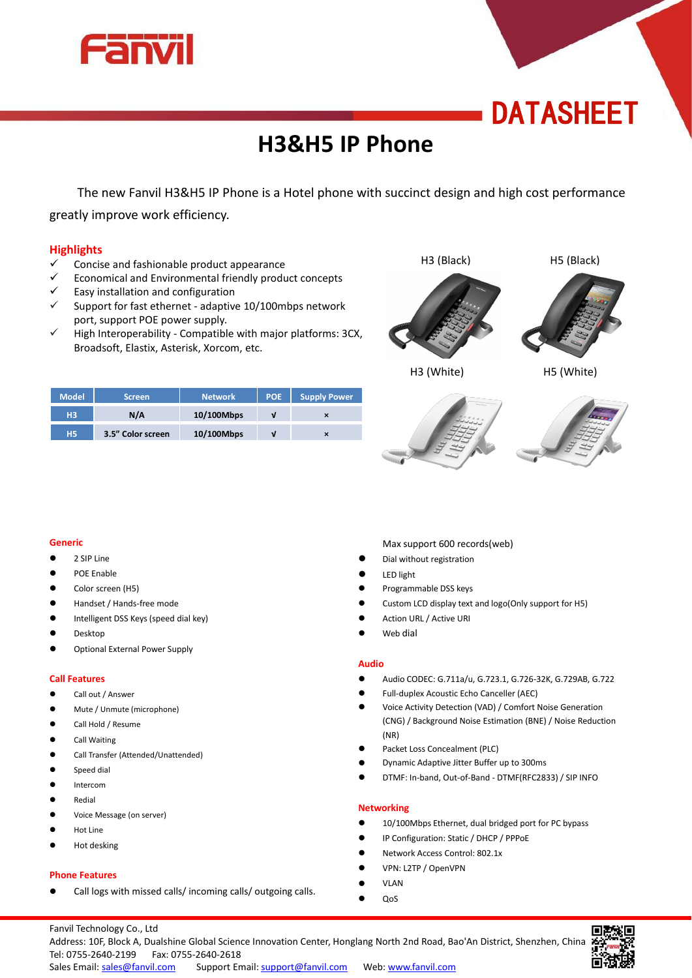

## **DATASHEET**

### **H3&H5 IP Phone**

The new Fanvil H3&H5 IP Phone is a Hotel phone with succinct design and high cost performance greatly improve work efficiency.

#### **Highlights**

- $\checkmark$  Concise and fashionable product appearance
- Economical and Environmental friendly product concepts
- $\checkmark$  Easy installation and configuration
- $\checkmark$  Support for fast ethernet adaptive 10/100mbps network port, support POE power supply.
- High Interoperability Compatible with major platforms: 3CX, Broadsoft, Elastix, Asterisk, Xorcom, etc.









H3 (White) H5 (White)

| <b>Model</b>   | <b>Screen</b>     | <b>Network</b> | <b>POE</b> | <b>Supply Power</b> |  |
|----------------|-------------------|----------------|------------|---------------------|--|
| H <sub>3</sub> | $N/\Lambda$       | 10/100Mbps     |            | $\times$            |  |
| <b>H5</b>      | 3.5" Color screen | 10/100Mbps     |            | $\times$            |  |



- 2 SIP Line
- POE Enable
- Color screen (H5)
- Handset / Hands-free mode
- **Intelligent DSS Keys (speed dial key)**
- Desktop
- Optional External Power Supply

#### **Call Features**

- **Call out / Answer**
- Mute / Unmute (microphone)
- Call Hold / Resume
- Call Waiting
- Call Transfer (Attended/Unattended)
- Speed dial
- Intercom
- Redial
- Voice Message (on server)
- Hot Line
- Hot desking

#### **Phone Features**

Call logs with missed calls/ incoming calls/ outgoing calls.

Max support 600 records(web)

- Dial without registration
- LED light
- Programmable DSS keys
- Custom LCD display text and logo(Only support for H5)
- Action URL / Active URI
- Web dial

#### **Audio**

- Audio CODEC: G.711a/u, G.723.1, G.726-32K, G.729AB, G.722
- Full-duplex Acoustic Echo Canceller (AEC)
- Voice Activity Detection (VAD) / Comfort Noise Generation (CNG) / Background Noise Estimation (BNE) / Noise Reduction (NR)
- Packet Loss Concealment (PLC)
- Dynamic Adaptive Jitter Buffer up to 300ms
- DTMF: In-band, Out-of-Band DTMF(RFC2833) / SIP INFO

#### **Networking**

- 10/100Mbps Ethernet, dual bridged port for PC bypass
- IP Configuration: Static / DHCP / PPPoE
- Network Access Control: 802.1x
- VPN: L2TP / OpenVPN
- VLAN
- QoS

Fanvil Technology Co., Ltd Address: 10F, Block A, Dualshine Global Science Innovation Center, Honglang North 2nd Road, Bao'An District, Shenzhen, China Tel: 0755-2640-2199 Fax: 0755-2640-2618